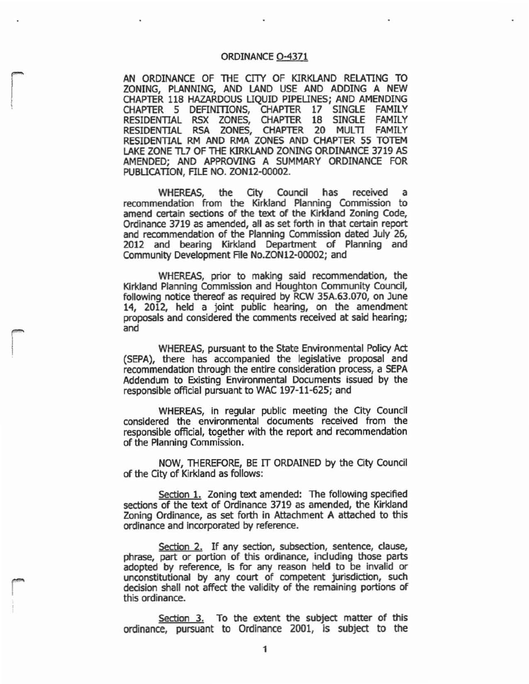### ORDINANCE O-4371

AN ORDINANCE OF THE CITY OF KIRKLAND RELATING TO ZONING, PLANNING, AND LAND USE AND ADDING A NEW CHAPTER 118 HAZARDOUS LIQUID PIPELINES; AND AMENDING<br>CHAPTER 5 DEFINITIONS. CHAPTER 17 SINGLE FAMILY CHAPTER 5 DEFINITIONS, CHAPTER 17 SINGLE FAMILY<br>RESIDENTIAL RSX ZONES, CHAPTER 18 SINGLE FAMILY RESIDENTIAL RSX ZONES, RESIDENTIAL RSA ZONES, CHAPTER 20 MULTI FAMILY RESIDENTIAL RM AND RMA ZONES AND CHAPTER 55 TOTEM LAKE ZONE TL7 OF THE KIRKLAND ZONING ORDINANCE 3719 AS AMENDED; AND APPROVING A SUMMARY ORDINANCE FOR PUBLICATION, FILE NO. ZON12-00002.

WHEREAS, the City Council has received a **recommendation from the KirkJand Planning Commission to** amend certain sections of the text of the Kirkland Zoning Code, Ordinance 3719 as amended, all as set forth in that certain report and recommendation of the Planning Commission dated July 26, 2012 and bearing Kirkland Department of Planning and Community Development Rle No.ZON12-oo002; and

WHEREAS, prior to making said recommendation, the Kirkland Planning Commission and Houghton Community Council, following notice thereof as required by RCW 35A.63.070, on June 14, 2012, held a joint public hearing, on the amendment **proposals and considered the comments received at said hearing;** and

WHEREAS, pursuant to the State Environmentai Policy Act (SEPA), there has accompanied the legislative proposal and recommendation through the entire consideration process, a SEPA Addendum to Existing Environmental Documents issued by the responsible official pursuant to WAC 197-11-625; and

r

r

WHEREAS, in regular public meeting the City Council **consIdered the environmental documents received from the** responsible official, together with the report and recommendation **of the Planning Commission.**

NOW, "THEREFORE, 8E IT ORDAINED by the City Council of the City of Kirkland as follows:

section 1. Zoning text amended: The following specified sections of the text of Ordinance 3719 as amended, the Kirkland Zoning Ordinance, as set forth in Attachment A attached to this ordinance and Incorporated by reference.

**Section 2. If any section, subsection, sentence, dause, phrase, part or portion of this ordinance, induding those parts adopted by reference, is for any reason held to be Invalid or** unconstitutional by any court of competent jurisdiction, such decision shall not affect the validity of the remaining portions of **this ordinance.**

Section 3. To the extent the subject matter of this ordinance, pursuant to Ordinance 2001, is subject to the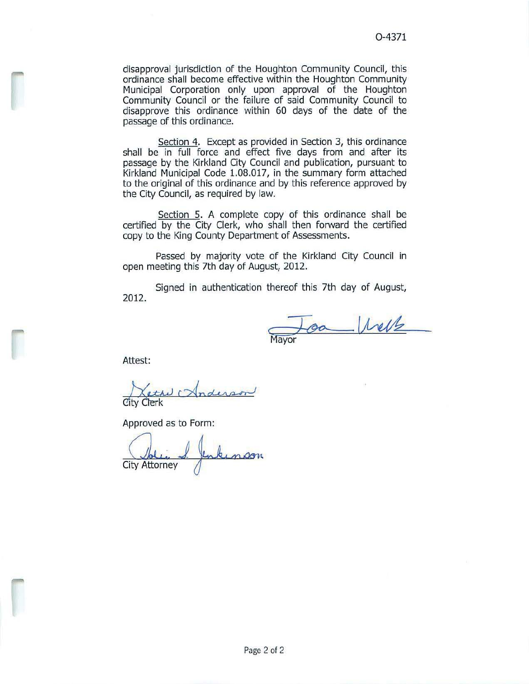**disapproval jurisdiction of the Houghton Community Council, this ordinance shall become effective within the Houghton Community Municipal Corporation only upon approval of the Houghton Community Council or the failure of said Community Council to disapprove this ordinance within 60 days of the date of the passage of this ordinance.**

**Section 4. Except as provided in Section 3, this ordinance shall be in full force and effect five days from and after its passage by the Kirkland City Council and publication, pursuant to Kirkland Municipal Code 1.08.017, in the summary form attached to the original of this ordinance and by this reference approved by the City Council, as required by law.**

**Section 5. A complete copy of this ordinance shall be** certified by the City Clerk, who shall then forward the certified **copy to the King County Department of Assessments.**

**Passed by majority vote of the Kirkland City Council in** open meeting this 7th day of August, 2012.

**Signed in authentication thereof this 7th day of August,** 2012.

oa Welk

Attest:

ethel ( Inderson City Clerk

**Approved as to Form:**

Lolin 1 Jenkenson City Attorney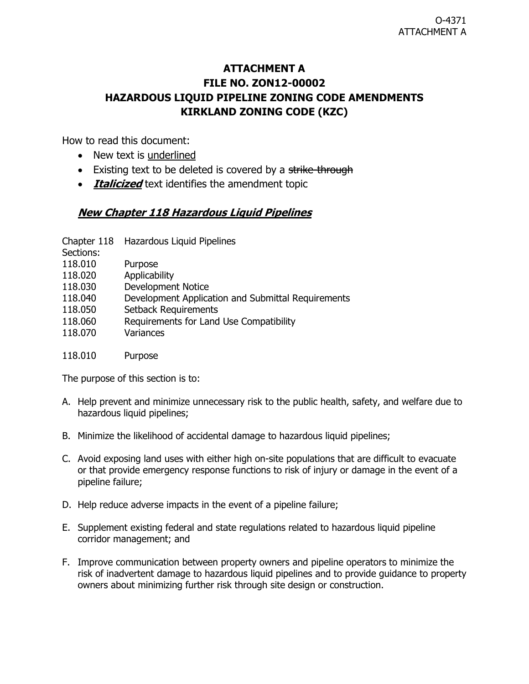# **ATTACHMENT A FILE NO. ZON12-00002 HAZARDOUS LIQUID PIPELINE ZONING CODE AMENDMENTS KIRKLAND ZONING CODE (KZC)**

How to read this document:

- New text is underlined
- Existing text to be deleted is covered by a strike-through
- **Italicized** text identifies the amendment topic

# **New Chapter 118 Hazardous Liquid Pipelines**

- Chapter 118 Hazardous Liquid Pipelines
- Sections:
- 118.010 Purpose
- 118.020 Applicability
- 118.030 Development Notice
- 118.040 Development Application and Submittal Requirements
- 118.050 Setback Requirements
- 118.060 Requirements for Land Use Compatibility
- 118.070 Variances
- 118.010 Purpose

The purpose of this section is to:

- A. Help prevent and minimize unnecessary risk to the public health, safety, and welfare due to hazardous liquid pipelines;
- B. Minimize the likelihood of accidental damage to hazardous liquid pipelines;
- C. Avoid exposing land uses with either high on-site populations that are difficult to evacuate or that provide emergency response functions to risk of injury or damage in the event of a pipeline failure;
- D. Help reduce adverse impacts in the event of a pipeline failure;
- E. Supplement existing federal and state regulations related to hazardous liquid pipeline corridor management; and
- F. Improve communication between property owners and pipeline operators to minimize the risk of inadvertent damage to hazardous liquid pipelines and to provide guidance to property owners about minimizing further risk through site design or construction.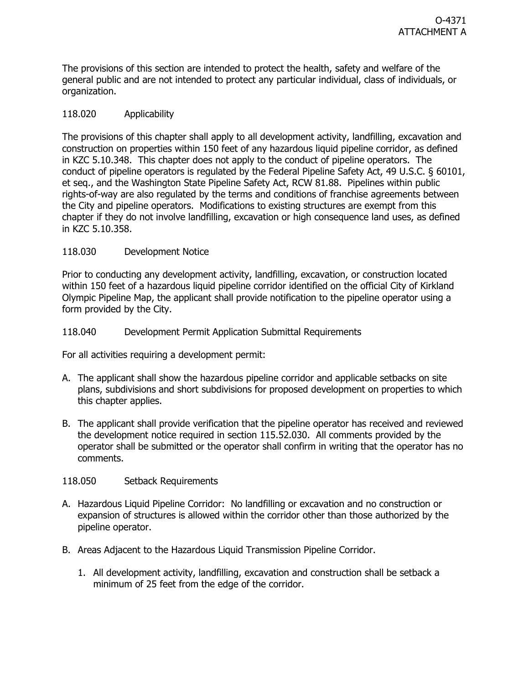The provisions of this section are intended to protect the health, safety and welfare of the general public and are not intended to protect any particular individual, class of individuals, or organization.

### 118.020 Applicability

The provisions of this chapter shall apply to all development activity, landfilling, excavation and construction on properties within 150 feet of any hazardous liquid pipeline corridor, as defined in KZC 5.10.348. This chapter does not apply to the conduct of pipeline operators. The conduct of pipeline operators is regulated by the Federal Pipeline Safety Act, 49 U.S.C. § 60101, et seq., and the Washington State Pipeline Safety Act, RCW 81.88. Pipelines within public rights-of-way are also regulated by the terms and conditions of franchise agreements between the City and pipeline operators. Modifications to existing structures are exempt from this chapter if they do not involve landfilling, excavation or high consequence land uses, as defined in KZC 5.10.358.

### 118.030 Development Notice

Prior to conducting any development activity, landfilling, excavation, or construction located within 150 feet of a hazardous liquid pipeline corridor identified on the official City of Kirkland Olympic Pipeline Map, the applicant shall provide notification to the pipeline operator using a form provided by the City.

### 118.040 Development Permit Application Submittal Requirements

For all activities requiring a development permit:

- A. The applicant shall show the hazardous pipeline corridor and applicable setbacks on site plans, subdivisions and short subdivisions for proposed development on properties to which this chapter applies.
- B. The applicant shall provide verification that the pipeline operator has received and reviewed the development notice required in section 115.52.030. All comments provided by the operator shall be submitted or the operator shall confirm in writing that the operator has no comments.

### 118.050 Setback Requirements

- A. Hazardous Liquid Pipeline Corridor: No landfilling or excavation and no construction or expansion of structures is allowed within the corridor other than those authorized by the pipeline operator.
- B. Areas Adjacent to the Hazardous Liquid Transmission Pipeline Corridor.
	- 1. All development activity, landfilling, excavation and construction shall be setback a minimum of 25 feet from the edge of the corridor.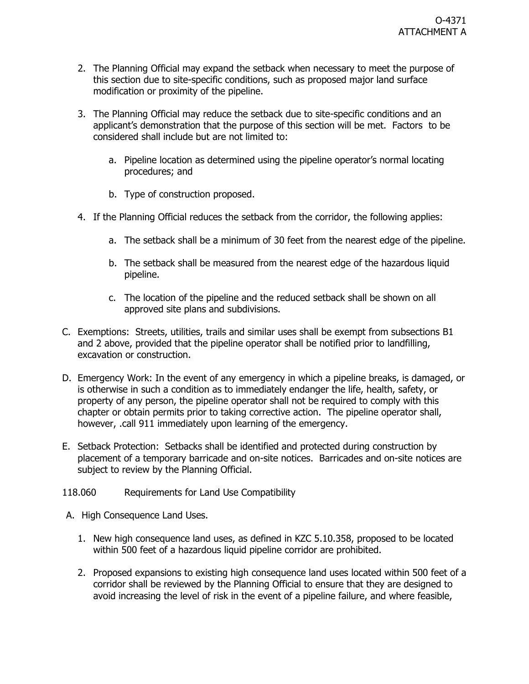- 2. The Planning Official may expand the setback when necessary to meet the purpose of this section due to site-specific conditions, such as proposed major land surface modification or proximity of the pipeline.
- 3. The Planning Official may reduce the setback due to site-specific conditions and an applicant's demonstration that the purpose of this section will be met. Factors to be considered shall include but are not limited to:
	- a. Pipeline location as determined using the pipeline operator's normal locating procedures; and
	- b. Type of construction proposed.
- 4. If the Planning Official reduces the setback from the corridor, the following applies:
	- a. The setback shall be a minimum of 30 feet from the nearest edge of the pipeline.
	- b. The setback shall be measured from the nearest edge of the hazardous liquid pipeline.
	- c. The location of the pipeline and the reduced setback shall be shown on all approved site plans and subdivisions.
- C. Exemptions: Streets, utilities, trails and similar uses shall be exempt from subsections B1 and 2 above, provided that the pipeline operator shall be notified prior to landfilling, excavation or construction.
- D. Emergency Work: In the event of any emergency in which a pipeline breaks, is damaged, or is otherwise in such a condition as to immediately endanger the life, health, safety, or property of any person, the pipeline operator shall not be required to comply with this chapter or obtain permits prior to taking corrective action. The pipeline operator shall, however, .call 911 immediately upon learning of the emergency.
- E. Setback Protection: Setbacks shall be identified and protected during construction by placement of a temporary barricade and on-site notices. Barricades and on-site notices are subject to review by the Planning Official.
- 118.060 Requirements for Land Use Compatibility
- A. High Consequence Land Uses.
	- 1. New high consequence land uses, as defined in KZC 5.10.358, proposed to be located within 500 feet of a hazardous liquid pipeline corridor are prohibited.
	- 2. Proposed expansions to existing high consequence land uses located within 500 feet of a corridor shall be reviewed by the Planning Official to ensure that they are designed to avoid increasing the level of risk in the event of a pipeline failure, and where feasible,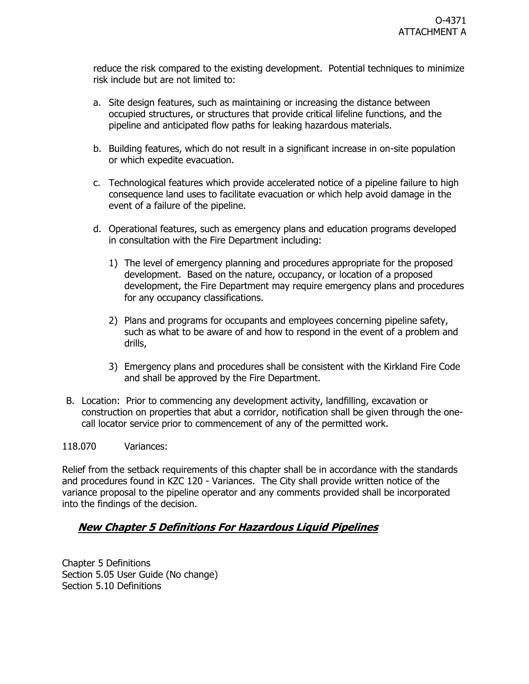reduce the risk compared to the existing development. Potential techniques to minimize risk include but are not limited to:

- a. Site design features, such as maintaining or increasing the distance between occupied structures, or structures that provide critical lifeline functions, and the pipeline and anticipated flow paths for leaking hazardous materials.
- b. Building features, which do not result in a significant increase in on-site population or which expedite evacuation.
- c. Technological features which provide accelerated notice of a pipeline failure to high consequence land uses to facilitate evacuation or which help avoid damage in the event of a failure of the pipeline.
- d. Operational features, such as emergency plans and education programs developed in consultation with the Fire Department including:
	- 1) The level of emergency planning and procedures appropriate for the proposed development. Based on the nature, occupancy, or location of a proposed development, the Fire Department may require emergency plans and procedures for any occupancy classifications.
	- 2) Plans and programs for occupants and employees concerning pipeline safety, such as what to be aware of and how to respond in the event of a problem and drills,
	- 3) Emergency plans and procedures shall be consistent with the Kirkland Fire Code and shall be approved by the Fire Department.
- B. Location: Prior to commencing any development activity, landfilling, excavation or construction on properties that abut a corridor, notification shall be given through the onecall locator service prior to commencement of any of the permitted work.

### 118.070 Variances:

Relief from the setback requirements of this chapter shall be in accordance with the standards and procedures found in KZC 120 - Variances. The City shall provide written notice of the variance proposal to the pipeline operator and any comments provided shall be incorporated into the findings of the decision.

## **New Chapter 5 Definitions For Hazardous Liquid Pipelines**

Chapter 5 Definitions Section 5.05 User Guide (No change) Section 5.10 Definitions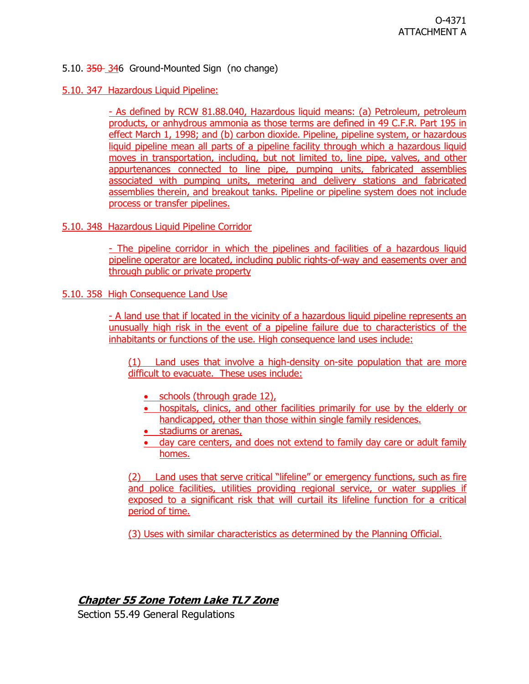## 5.10. 350 346 Ground-Mounted Sign (no change)

### 5.10. 347 Hazardous Liquid Pipeline:

- As defined by RCW 81.88.040, Hazardous liquid means: (a) Petroleum, petroleum products, or anhydrous ammonia as those terms are defined in 49 C.F.R. Part 195 in effect March 1, 1998; and (b) carbon dioxide. Pipeline, pipeline system, or hazardous liquid pipeline mean all parts of a pipeline facility through which a hazardous liquid moves in transportation, including, but not limited to, line pipe, valves, and other appurtenances connected to line pipe, pumping units, fabricated assemblies associated with pumping units, metering and delivery stations and fabricated assemblies therein, and breakout tanks. Pipeline or pipeline system does not include process or transfer pipelines.

### 5.10. 348 Hazardous Liquid Pipeline Corridor

- The pipeline corridor in which the pipelines and facilities of a hazardous liquid pipeline operator are located, including public rights-of-way and easements over and through public or private property

### 5.10. 358 High Consequence Land Use

- A land use that if located in the vicinity of a hazardous liquid pipeline represents an unusually high risk in the event of a pipeline failure due to characteristics of the inhabitants or functions of the use. High consequence land uses include:

(1) Land uses that involve a high-density on-site population that are more difficult to evacuate. These uses include:

- schools (through grade 12),
- hospitals, clinics, and other facilities primarily for use by the elderly or handicapped, other than those within single family residences.
- stadiums or arenas,
- day care centers, and does not extend to family day care or adult family homes.

(2) Land uses that serve critical "lifeline" or emergency functions, such as fire and police facilities, utilities providing regional service, or water supplies if exposed to a significant risk that will curtail its lifeline function for a critical period of time.

(3) Uses with similar characteristics as determined by the Planning Official.

# **Chapter 55 Zone Totem Lake TL7 Zone**

Section 55.49 General Regulations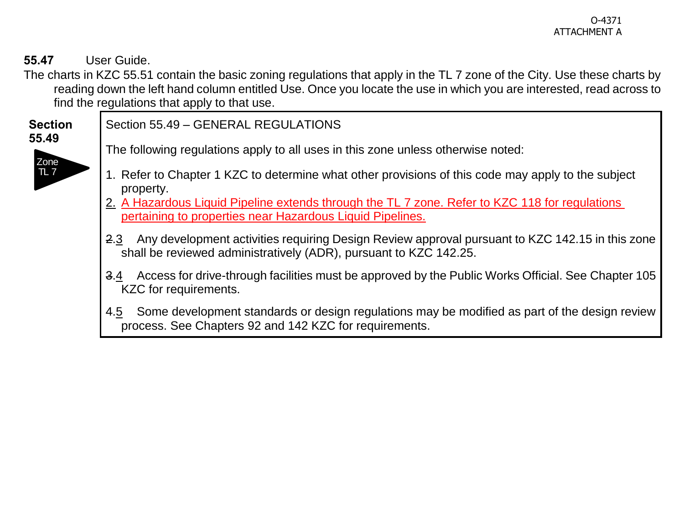# **55.47** User Guide.

The charts in KZC 55.51 contain the basic zoning regulations that apply in the TL 7 zone of the City. Use these charts by reading down the left hand column entitled Use. Once you locate the use in which you are interested, read across to find the regulations that apply to that use.



Zone TL 7

# Section 55.49 – GENERAL REGULATIONS

The following regulations apply to all uses in this zone unless otherwise noted:



- 2. A Hazardous Liquid Pipeline extends through the TL 7 zone. Refer to KZC 118 for regulations pertaining to properties near Hazardous Liquid Pipelines.
- 2.3 Any development activities requiring Design Review approval pursuant to KZC 142.15 in this zone shall be reviewed administratively (ADR), pursuant to KZC 142.25.
- 3.4 Access for drive-through facilities must be approved by the Public Works Official. See Chapter 105 KZC for requirements.
- 4.5 Some development standards or design regulations may be modified as part of the design review process. See Chapters 92 and 142 KZC for requirements.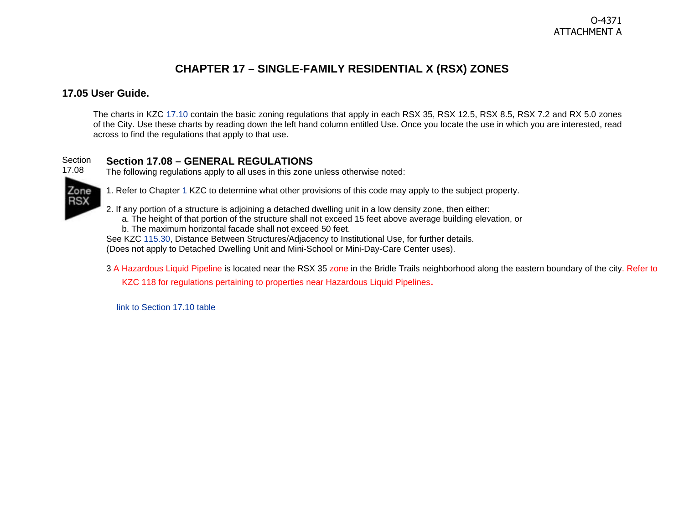## O-4371 ATTACHMENT A

# **CHAPTER 17 – SINGLE-FAMILY RESIDENTIAL X (RSX) ZONES**

### **17.05 User Guide.**

The charts in KZC 17.10 contain the basic zoning regulations that apply in each RSX 35, RSX 12.5, RSX 8.5, RSX 7.2 and RX 5.0 zones of the City. Use these charts by reading down the left hand column entitled Use. Once you locate the use in which you are interested, read across to find the regulations that apply to that use.

### **Section** 17.08 **Section 17.08 – GENERAL REGULATIONS**

The following regulations apply to all uses in this zone unless otherwise noted:



1. Refer to Chapter 1 KZC to determine what other provisions of this code may apply to the subject property.

- 2. If any portion of a structure is adjoining a detached dwelling unit in a low density zone, then either:
	- a. The height of that portion of the structure shall not exceed 15 feet above average building elevation, or
	- b. The maximum horizontal facade shall not exceed 50 feet.

See KZC 115.30, Distance Between Structures/Adjacency to Institutional Use, for further details.

(Does not apply to Detached Dwelling Unit and Mini-School or Mini-Day-Care Center uses).

3 A Hazardous Liquid Pipeline is located near the RSX 35 zone in the Bridle Trails neighborhood along the eastern boundary of the city. Refer to KZC 118 for regulations pertaining to properties near Hazardous Liquid Pipelines.

link to Section 17.10 table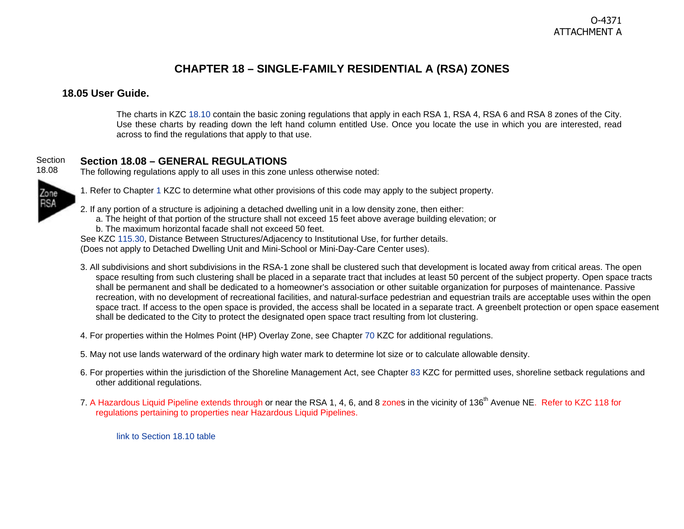## O-4371 ATTACHMENT A

## **CHAPTER 18 – SINGLE-FAMILY RESIDENTIAL A (RSA) ZONES**

### **18.05 User Guide.**

The charts in KZC 18.10 contain the basic zoning regulations that apply in each RSA 1, RSA 4, RSA 6 and RSA 8 zones of the City. Use these charts by reading down the left hand column entitled Use. Once you locate the use in which you are interested, read across to find the regulations that apply to that use.

#### Section 18.08 **Section 18.08 – GENERAL REGULATIONS**

The following regulations apply to all uses in this zone unless otherwise noted:



1. Refer to Chapter 1 KZC to determine what other provisions of this code may apply to the subject property.

- 2. If any portion of a structure is adjoining a detached dwelling unit in a low density zone, then either:
	- a. The height of that portion of the structure shall not exceed 15 feet above average building elevation; or b. The maximum horizontal facade shall not exceed 50 feet.
- See KZC 115.30, Distance Between Structures/Adjacency to Institutional Use, for further details.

(Does not apply to Detached Dwelling Unit and Mini-School or Mini-Day-Care Center uses).

- 3. All subdivisions and short subdivisions in the RSA-1 zone shall be clustered such that development is located away from critical areas. The open space resulting from such clustering shall be placed in a separate tract that includes at least 50 percent of the subject property. Open space tracts shall be permanent and shall be dedicated to a homeowner's association or other suitable organization for purposes of maintenance. Passive recreation, with no development of recreational facilities, and natural-surface pedestrian and equestrian trails are acceptable uses within the open space tract. If access to the open space is provided, the access shall be located in a separate tract. A greenbelt protection or open space easement shall be dedicated to the City to protect the designated open space tract resulting from lot clustering.
- 4. For properties within the Holmes Point (HP) Overlay Zone, see Chapter 70 KZC for additional regulations.
- 5. May not use lands waterward of the ordinary high water mark to determine lot size or to calculate allowable density.
- 6. For properties within the jurisdiction of the Shoreline Management Act, see Chapter 83 KZC for permitted uses, shoreline setback regulations and other additional regulations.
- 7. A Hazardous Liquid Pipeline extends through or near the RSA 1, 4, 6, and 8 zones in the vicinity of 136<sup>th</sup> Avenue NE. Refer to KZC 118 for regulations pertaining to properties near Hazardous Liquid Pipelines.

link to Section 18.10 table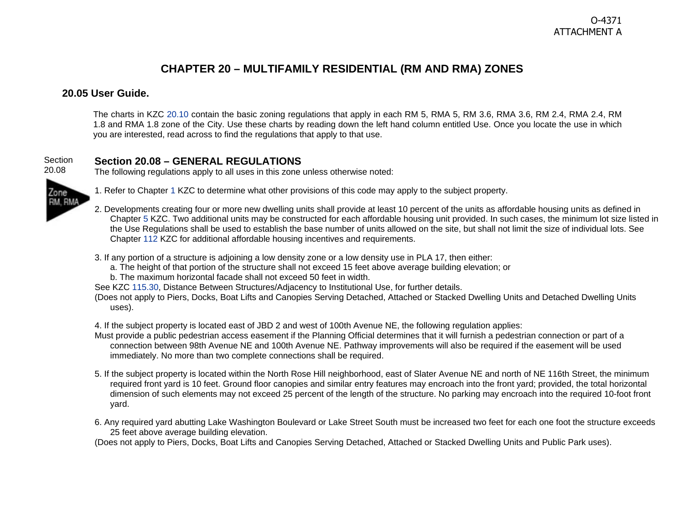### O-4371 ATTACHMENT A

# **CHAPTER 20 – MULTIFAMILY RESIDENTIAL (RM AND RMA) ZONES**

### **20.05 User Guide.**

The charts in KZC 20.10 contain the basic zoning regulations that apply in each RM 5, RMA 5, RM 3.6, RMA 3.6, RM 2.4, RMA 2.4, RM 1.8 and RMA 1.8 zone of the City. Use these charts by reading down the left hand column entitled Use. Once you locate the use in which you are interested, read across to find the regulations that apply to that use.

#### **Section** 20.08 **Section 20.08 – GENERAL REGULATIONS**

The following regulations apply to all uses in this zone unless otherwise noted:



- 1. Refer to Chapter 1 KZC to determine what other provisions of this code may apply to the subject property.
- 2. Developments creating four or more new dwelling units shall provide at least 10 percent of the units as affordable housing units as defined in Chapter 5 KZC. Two additional units may be constructed for each affordable housing unit provided. In such cases, the minimum lot size listed in the Use Regulations shall be used to establish the base number of units allowed on the site, but shall not limit the size of individual lots. See Chapter 112 KZC for additional affordable housing incentives and requirements.
- 3. If any portion of a structure is adjoining a low density zone or a low density use in PLA 17, then either:
	- a. The height of that portion of the structure shall not exceed 15 feet above average building elevation; or
	- b. The maximum horizontal facade shall not exceed 50 feet in width.

See KZC 115.30, Distance Between Structures/Adjacency to Institutional Use, for further details.

(Does not apply to Piers, Docks, Boat Lifts and Canopies Serving Detached, Attached or Stacked Dwelling Units and Detached Dwelling Units uses).

4. If the subject property is located east of JBD 2 and west of 100th Avenue NE, the following regulation applies:

Must provide a public pedestrian access easement if the Planning Official determines that it will furnish a pedestrian connection or part of a connection between 98th Avenue NE and 100th Avenue NE. Pathway improvements will also be required if the easement will be used immediately. No more than two complete connections shall be required.

- 5. If the subject property is located within the North Rose Hill neighborhood, east of Slater Avenue NE and north of NE 116th Street, the minimum required front yard is 10 feet. Ground floor canopies and similar entry features may encroach into the front yard; provided, the total horizontal dimension of such elements may not exceed 25 percent of the length of the structure. No parking may encroach into the required 10-foot front yard.
- 6. Any required yard abutting Lake Washington Boulevard or Lake Street South must be increased two feet for each one foot the structure exceeds 25 feet above average building elevation.

(Does not apply to Piers, Docks, Boat Lifts and Canopies Serving Detached, Attached or Stacked Dwelling Units and Public Park uses).